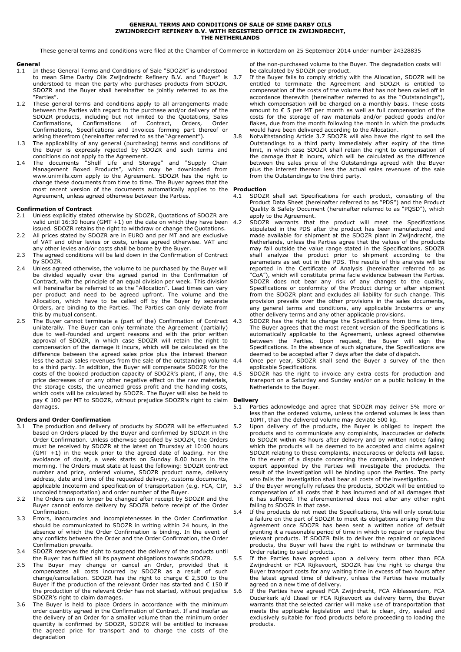#### **GENERAL TERMS AND CONDITIONS OF SALE OF SIME DARBY OILS ZWIJNDRECHT REFINERY B.V. WITH REGISTRED OFFICE IN ZWIJNDRECHT, THE NETHERLANDS**

These general terms and conditions were filed at the Chamber of Commerce in Rotterdam on 25 September 2014 under number 24328835

# **General**<br>1.1 In

- In these General Terms and Conditions of Sale "SDOZR" is understood to mean Sime Darby Oils Zwijndrecht Refinery B.V. and "Buyer" is understood to mean the party who purchases products from SDOZR. SDOZR and the Buyer shall hereinafter be jointly referred to as the "Parties".
- 1.2 These general terms and conditions apply to all arrangements made between the Parties with regard to the purchase and/or delivery of the SDOZR products, including but not limited to the Quotations, Sales<br>Confirmations, Confirmations of Contract, Orders, Order Confirmations of Contract, Orders, Confirmations, Specifications and Invoices forming part thereof or arising therefrom (hereinafter referred to as the "Agreement").
- 1.3 The applicability of any general (purchasing) terms and conditions of the Buyer is expressly rejected by SDOZR and such terms and conditions do not apply to the Agreement.
- 1.4 The documents "Shelf Life and Storage" and "Supply Chain Management Boxed Products", which may be downloaded fro[m](http://www.unimills.com/) [www.unimills.com](http://www.unimills.com/) apply to the Agreement. SDOZR has the right to change these documents from time to time. The Buyer agrees that the most recent version of the documents automatically applies to the **Production** Agreement, unless agreed otherwise between the Parties.

### **Confirmation of Contract**

- 2.1 Unless explicitly stated otherwise by SDOZR, Quotations of SDOZR are valid until  $16:30$  hours (GMT +1) on the date on which they have been 4.2 issued. SDOZR retains the right to withdraw or change the Quotations.
- 2.2 All prices stated by SDOZR are in EURO and per MT and are exclusive of VAT and other levies or costs, unless agreed otherwise. VAT and any other levies and/or costs shall be borne by the Buyer.
- 2.3 The agreed conditions will be laid down in the Confirmation of Contract by SDOZR
- 2.4 Unless agreed otherwise, the volume to be purchased by the Buyer will be divided equally over the agreed period in the Confirmation of Contract, with the principle of an equal division per week. This division will hereinafter be referred to as the "Allocation". Lead times can vary per product and need to be agreed upfront. The volume and the Allocation, which have to be called off by the Buyer by separate Orders, are binding to the Parties. The Parties can only deviate from this by mutual consent.
- 2.5 The Buyer cannot terminate a (part of the) Confirmation of Contract 4.3 unilaterally. The Buyer can only terminate the Agreement (partially) due to well-founded and urgent reasons and with the prior written approval of SDOZR, in which case SDOZR will retain the right to compensation of the damage it incurs, which will be calculated as the difference between the agreed sales price plus the interest thereon less the actual sales revenues from the sale of the outstanding volume to a third party. In addition, the Buyer will compensate SDOZR for the costs of the booked production capacity of SDOZR's plant, if any, the price decreases of or any other negative effect on the raw materials, the storage costs, the unearned gross profit and the handling costs, which costs will be calculated by SDOZR. The Buyer will also be held to pay € 100 per MT to SDOZR, without prejudice SDOZR's right to claim damages.

## **Orders and Order Confirmation**

- 3.1 The production and delivery of products by SDOZR will be effectuated 5.2 based on Orders placed by the Buyer and confirmed by SDOZR in the Order Confirmation. Unless otherwise specified by SDOZR, the Orders must be received by SDOZR at the latest on Thursday at 10:00 hours (GMT +1) in the week prior to the agreed date of loading. For the avoidance of doubt, a week starts on Sunday 8.00 hours in the morning. The Orders must state at least the following: SDOZR contract number and price, ordered volume, SDOZR product name, delivery address, date and time of the requested delivery, customs documents, applicable Incoterm and specification of transportation (e.g. FCA, CIP, uncooled transportation) and order number of the Buyer.
- 3.2 The Orders can no longer be changed after receipt by SDOZR and the Buyer cannot enforce delivery by SDOZR before receipt of the Order Confirmation.
- 3.3 Errors, inaccuracies and incompletenesses in the Order Confirmation should be communicated to SDOZR in writing within 24 hours, in the absence of which the Order Confirmation is binding. In the event of any conflicts between the Order and the Order Confirmation, the Order Confirmation prevails.
- 3.4 SDOZR reserves the right to suspend the delivery of the products until the Buyer has fulfilled all its payment obligations towards SDOZR.
- 3.5 The Buyer may change or cancel an Order, provided that it compensates all costs incurred by SDOZR as a result of such change/cancellation. SDOZR has the right to charge € 2,500 to the Buyer if the production of the relevant Order has started and € 150 if the production of the relevant Order has not started, without prejudice SDOZR's right to claim damages.
- 3.6 The Buyer is held to place Orders in accordance with the minimum order quantity agreed in the Confirmation of Contract. If and insofar as the delivery of an Order for a smaller volume than the minimum order quantity is confirmed by SDOZR, SDOZR will be entitled to increase the agreed price for transport and to charge the costs of the degradation

of the non-purchased volume to the Buyer. The degradation costs will be calculated by SDOZR per product.

- If the Buyer fails to comply strictly with the Allocation, SDOZR will be entitled to terminate the Agreement and SDOZR is entitled to compensation of the costs of the volume that has not been called off in accordance therewith (hereinafter referred to as the "Outstandings"), which compensation will be charged on a monthly basis. These costs amount to € 5 per MT per month as well as full compensation of the costs for the storage of raw materials and/or packed goods and/or flakes, due from the month following the month in which the products would have been delivered according to the Allocation.
- 3.8 Notwithstanding Article 3.7 SDOZR will also have the right to sell the Outstandings to a third party immediately after expiry of the time limit, in which case SDOZR shall retain the right to compensation of the damage that it incurs, which will be calculated as the difference between the sales price of the Outstandings agreed with the Buyer plus the interest thereon less the actual sales revenues of the sale from the Outstandings to the third party.

- 4.1 SDOZR shall set Specifications for each product, consisting of the Product Data Sheet (hereinafter referred to as "PDS") and the Product Quality & Safety Document (hereinafter referred to as "PQSD"), which apply to the Agreement.
- SDOZR warrants that the product will meet the Specifications stipulated in the PDS after the product has been manufactured and made available for shipment at the SDOZR plant in Zwijndrecht, the Netherlands, unless the Parties agree that the values of the products may fall outside the value range stated in the Specifications. SDOZR shall analyze the product prior to shipment according to the parameters as set out in the PDS. The results of this analysis will be reported in the Certificate of Analysis (hereinafter referred to as "CoA"), which will constitute prima facie evidence between the Parties. SDOZR does not bear any risk of any changes to the quality, Specifications or conformity of the Product during or after shipment from the SDOZR plant and excludes all liability for such change. This provision prevails over the other provisions in the sales documents, any general terms and conditions, any applicable Incoterms or any other delivery terms and any other applicable provisions.
- SDOZR has the right to change the Specifications from time to time. The Buyer agrees that the most recent version of the Specifications is automatically applicable to the Agreement, unless agreed otherwise between the Parties. Upon request, the Buyer will sign the Specifications. In the absence of such signature, the Specifications are deemed to be accepted after 7 days after the date of dispatch.
- Once per year, SDOZR shall send the Buyer a survey of the then applicable Specifications.
- 4.5 SDOZR has the right to invoice any extra costs for production and transport on a Saturday and Sunday and/or on a public holiday in the Netherlands to the Buyer.

# **Delivery**<br>5.1 Par

- Parties acknowledge and agree that SDOZR may deliver 5% more or less than the ordered volume, unless the ordered volumes is less than 10MT, than the delivered volume may deviate 500 kg.
- Upon delivery of the products, the Buyer is obliged to inspect the products and to communicate any complaints, inaccuracies or defects to SDOZR within 48 hours after delivery and by written notice failing which the products will be deemed to be accepted and claims against SDOZR relating to these complaints, inaccuracies or defects will lapse. In the event of a dispute concerning the complaint, an independent expert appointed by the Parties will investigate the products. The result of the investigation will be binding upon the Parties. The party who fails the investigation shall bear all costs of the investigation.
- 5.3 If the Buyer wrongfully refuses the products, SDOZR will be entitled to compensation of all costs that it has incurred and of all damages that it has suffered. The aforementioned does not alter any other right falling to SDOZR in that case.
	- If the products do not meet the Specifications, this will only constitute a failure on the part of SDOZR to meet its obligations arising from the Agreement once SDOZR has been sent a written notice of default granting it a reasonable period of time in which to repair or replace the relevant products. If SDOZR fails to deliver the repaired or replaced products, the Buyer will have the right to withdraw or terminate the Order relating to said products.
- 5.5 If the Parties have agreed upon a delivery term other than FCA Zwijndrecht or FCA Rijkevoort, SDOZR has the right to charge the Buyer transport costs for any waiting time in excess of two hours after the latest agreed time of delivery, unless the Parties have mutually agreed on a new time of delivery.
- If the Parties have agreed FCA Zwijndrecht, FCA Alblasserdam, FCA Ouderkerk a/d IJssel or FCA Rijkevoort as delivery term, the Buyer warrants that the selected carrier will make use of transportation that meets the applicable legislation and that is clean, dry, sealed and exclusively suitable for food products before proceeding to loading the products.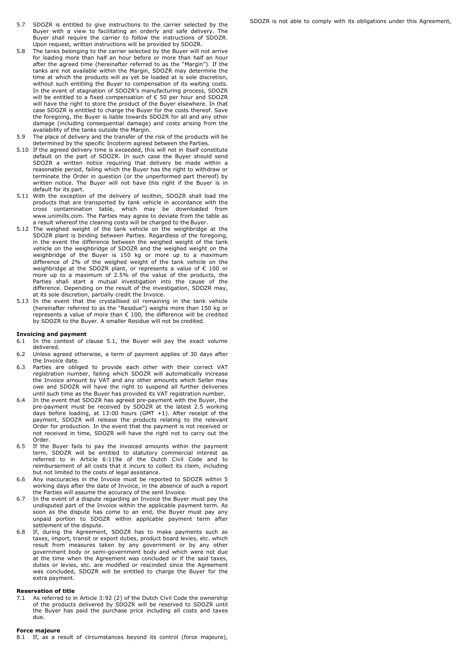- 5.7 SDOZR is entitled to give instructions to the carrier selected by the Buyer with a view to facilitating an orderly and safe delivery. The Buyer shall require the carrier to follow the instructions of SDOZR. Upon request, written instructions will be provided by SDOZR.
- 5.8 The tanks belonging to the carrier selected by the Buyer will not arrive for loading more than half an hour before or more than half an hour after the agreed time (hereinafter referred to as the "Margin"). If the tanks are not available within the Margin, SDOZR may determine the time at which the products will as yet be loaded at is sole discretion, without such entitling the Buyer to compensation of its waiting costs. In the event of stagnation of SDOZR's manufacturing process, SDOZR will be entitled to a fixed compensation of € 50 per hour and SDOZR will have the right to store the product of the Buyer elsewhere. In that case SDOZR is entitled to charge the Buyer for the costs thereof. Save the foregoing, the Buyer is liable towards SDOZR for all and any other damage (including consequential damage) and costs arising from the availability of the tanks outside the Margin.
- 5.9 The place of delivery and the transfer of the risk of the products will be determined by the specific Incoterm agreed between the Parties.
- 5.10 If the agreed delivery time is exceeded, this will not in itself constitute default on the part of SDOZR. In such case the Buyer should send SDOZR a written notice requiring that delivery be made within a reasonable period, failing which the Buyer has the right to withdraw or terminate the Order in question (or the unperformed part thereof) by written notice. The Buyer will not have this right if the Buyer is in default for its part.
- 5.11 With the exception of the delivery of lecithin, SDOZR shall load the products that are transported by tank vehicle in accordance with the cross contamination table, which may be downloaded fro[m](http://www.unimills.com/) [www.unimills.com. T](http://www.unimills.com/)he Parties may agree to deviate from the table as a result whereof the cleaning costs will be charged to the Buyer.
- 5.12 The weighed weight of the tank vehicle on the weighbridge at the SDOZR plant is binding between Parties. Regardless of the foregoing, in the event the difference between the weighed weight of the tank vehicle on the weighbridge of SDOZR and the weighed weight on the weighbridge of the Buyer is 150 kg or more up to a maximum difference of 2% of the weighed weight of the tank vehicle on the weighbridge at the SDOZR plant, or represents a value of € 100 or more up to a maximum of 2.5% of the value of the products, the Parties shall start a mutual investigation into the cause of the difference. Depending on the result of the investigation, SDOZR may, at its sole discretion, partially credit the Invoice.
- 5.13 In the event that the crystallised oil remaining in the tank vehicle (hereinafter referred to as the "Residue") weighs more than 150 kg or represents a value of more than € 100, the difference will be credited by SDOZR to the Buyer. A smaller Residue will not be credited.

# **Invoicing and payment**<br>6.1 In the context of o

- In the context of clause 5.1, the Buyer will pay the exact volume delivered.
- 6.2 Unless agreed otherwise, a term of payment applies of 30 days after the Invoice date.
- 6.3 Parties are obliged to provide each other with their correct VAT registration number, failing which SDOZR will automatically increase the Invoice amount by VAT and any other amounts which Seller may owe and SDOZR will have the right to suspend all further deliveries until such time as the Buyer has provided its VAT registration number.
- 6.4 In the event that SDOZR has agreed pre-payment with the Buyer, the pre-payment must be received by SDOZR at the latest 2.5 working days before loading, at 13:00 hours (GMT +1). After receipt of the payment, SDOZR will release the products relating to the relevant Order for production. In the event that the payment is not received or not received in time, SDOZR will have the right not to carry out the Order.
- 6.5 If the Buyer fails to pay the invoiced amounts within the payment term, SDOZR will be entitled to statutory commercial interest as referred to in Article 6:119a of the Dutch Civil Code and to reimbursement of all costs that it incurs to collect its claim, including but not limited to the costs of legal assistance.
- 6.6 Any inaccuracies in the Invoice must be reported to SDOZR within 5 working days after the date of Invoice, in the absence of such a report the Parties will assume the accuracy of the sent Invoice.
- 6.7 In the event of a dispute regarding an Invoice the Buyer must pay the undisputed part of the Invoice within the applicable payment term. As soon as the dispute has come to an end, the Buyer must pay any unpaid portion to SDOZR within applicable payment term after settlement of the dispute.
- 6.8 If, during the Agreement, SDOZR has to make payments such as taxes, import, transit or export duties, product board levies, etc. which result from measures taken by any government or by any other government body or semi-government body and which were not due at the time when the Agreement was concluded or if the said taxes, duties or levies, etc. are modified or rescinded since the Agreement was concluded, SDOZR will be entitled to charge the Buyer for the extra payment.

# **Reservation of title**

7.1 As referred to in Article 3:92 (2) of the Dutch Civil Code the ownership of the products delivered by SDOZR will be reserved to SDOZR until the Buyer has paid the purchase price including all costs and taxes due.

#### **Force majeure**

8.1 If, as a result of circumstances beyond its control (force majeure),

SDOZR is not able to comply with its obligations under this Agreement,